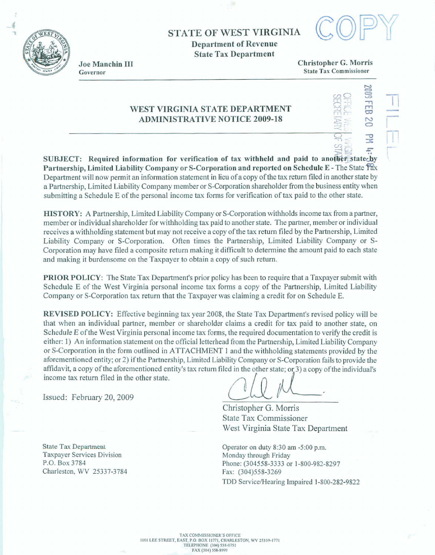**STATE OF WEST VIRGINLA Department of Revenue State Tax Department** 



**d** 



Joe Manchin III Governor

**Christopher** *G.* **Morris State Tar Commissioner** 

## **WEST VIRGINIA STATE DEPARTMENT ADMINISTRATIVE NQTICE 2009-18**

**SUEJECT: Required infomation for veriiication of tar withheld and paid to Partnership, Limited Liability Company or S-Corporation and reported on Schedule E - The State**  $\widehat{T}$ **<sub>2</sub>x Department** will **now** permit **an information statement in lieu of a copy of the** tax **return** filed **in another state by a Partnership, Limited Liability Company member or S-Corporation shareholder fiom the business entity when submitting a Schedule E of the personal income tax forms for verification** of **tax paid to** the **other state.** 

**HISTORY: A Partnership, Limited Liabidity Company or S-Corporation withholds income tax from a** parher, **member or individuaI shareholder for withholding tax paid to another state. The partner, member or individual receives a withholding statement but may not receive a copy of the tax return filed by the Partnership, Limited Liability Company or S-Corporation. Often times the Partnership, Limited Liability Company or S-Corporation may have fded a composite return making** it **difficult to determine the** amount **paid to** each **state**  and **making it burdensome on the Taxpayer to obtain a copy of such return.** 

**PRIOR POLICY:** The State Tax Department's prior policy has been to require that a Taxpayer submit with **Schedule E of the West Virginia personal income** tax **forms a copy of the Partnership, Limited Liability Company or %Corporation tax** return **that the Taxpayer was claiming a credit for on Schedule E.** 

**REVISED POLICY: Effective beginning tax year 2008, the State Tax Department's revised policy will be that when an individual partner, member or shareholder** claim **a credit for tax paid** to **another state, on Schedule E of the West Virginia personal income tax forms, the required documentation** to **verify the credit is either: I) An information statement on the official letterhead** from **tfie Parhership, Limited Liability Company or S-Corporation in the** form **outlined** in **ATTACHMENT 1 and the withholding statements provided by the**  aforementioned entity; or 2) if the Partnership, Limited Liability Company or S-Corporation fails to provide the<br>affidavit, a copy of the aforementioned entity's tax return filed in the other state; or 3) a copy of the ind & income **tax return** filed **hi the other state.** 

**issued: February 20, 2009** 

**Christopher G. Morris State Tax Commissioner West** Virginia **State Tax** Department

**Operator on duty 830 am -5:OO p.m. Monday through Friday Phone: (304558-3333** *or* **1-800-982-8297 Fax: (304)558-3269 TDD Servicdearing Impaired 1-800-282-9822** 

**State Tax Department Taxpayer Services Division P.O. Box 3784 Charleston. WV 25337-3784**